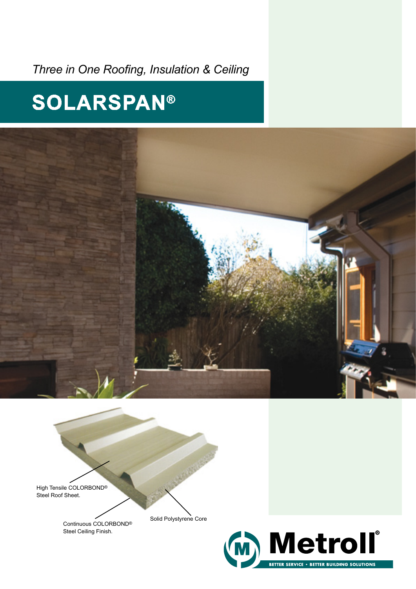*Three in One Roofing, Insulation & Ceiling*

# **SOLARSPAN**®



High Tensile COLORBOND® Steel Roof Sheet.

> Continuous COLORBOND® Steel Ceiling Finish.

Solid Polystyrene Core

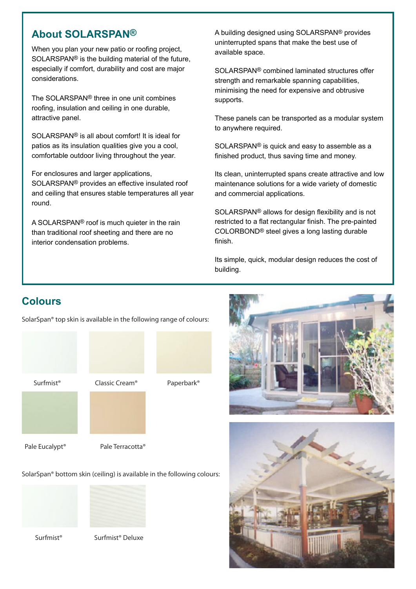# **About SOLARSPAN®**

When you plan your new patio or roofing project, SOLARSPAN® is the building material of the future, especially if comfort, durability and cost are major considerations.

The SOLARSPAN® three in one unit combines roofing, insulation and ceiling in one durable, attractive panel.

SOLARSPAN® is all about comfort! It is ideal for patios as its insulation qualities give you a cool, comfortable outdoor living throughout the year.

For enclosures and larger applications,

SOLARSPAN® provides an effective insulated roof and ceiling that ensures stable temperatures all year round.

A SOLARSPAN® roof is much quieter in the rain than traditional roof sheeting and there are no interior condensation problems.

A building designed using SOLARSPAN® provides uninterrupted spans that make the best use of available space.

SOLARSPAN® combined laminated structures offer strength and remarkable spanning capabilities, minimising the need for expensive and obtrusive supports.

These panels can be transported as a modular system to anywhere required.

SOLARSPAN® is quick and easy to assemble as a finished product, thus saving time and money.

Its clean, uninterrupted spans create attractive and low maintenance solutions for a wide variety of domestic and commercial applications.

SOLARSPAN® allows for design flexibility and is not restricted to a flat rectangular finish. The pre-painted COLORBOND® steel gives a long lasting durable finish.

Its simple, quick, modular design reduces the cost of building.

# **Colours**

SolarSpan® top skin is available in the following range of colours:









Pale Eucalypt<sup>®</sup> Pale Terracotta<sup>®</sup>

SolarSpan® bottom skin (ceiling) is available in the following colours:





Surfmist® Surfmist® Deluxe



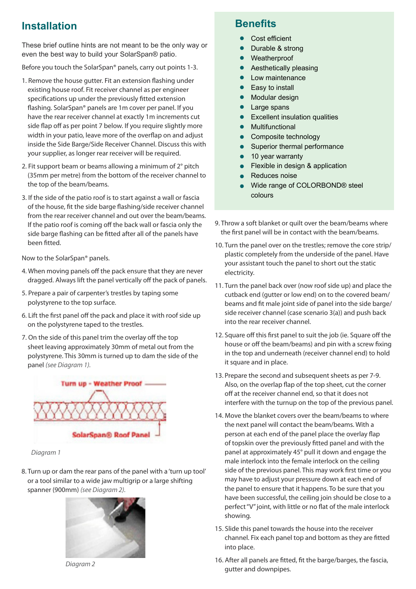# **Installation**

These brief outline hints are not meant to be the only way or even the best way to build your SolarSpan® patio.

Before you touch the SolarSpan® panels, carry out points 1-3.

- 1. Remove the house gutter. Fit an extension flashing under existing house roof. Fit receiver channel as per engineer specifications up under the previously fitted extension flashing. SolarSpan® panels are 1m cover per panel. If you have the rear receiver channel at exactly 1m increments cut side flap off as per point 7 below. If you require slightly more width in your patio, leave more of the overflap on and adjust inside the Side Barge/Side Receiver Channel. Discuss this with your supplier, as longer rear receiver will be required.
- 2. Fit support beam or beams allowing a minimum of 2° pitch (35mm per metre) from the bottom of the receiver channel to the top of the beam/beams.
- 3. If the side of the patio roof is to start against a wall or fascia of the house, fit the side barge flashing/side receiver channel from the rear receiver channel and out over the beam/beams. If the patio roof is coming off the back wall or fascia only the side barge flashing can be fitted after all of the panels have been fitted.

Now to the SolarSpan® panels.

- 4. When moving panels off the pack ensure that they are never dragged. Always lift the panel vertically off the pack of panels.
- 5. Prepare a pair of carpenter's trestles by taping some polystyrene to the top surface.
- 6. Lift the first panel off the pack and place it with roof side up on the polystyrene taped to the trestles.
- 7. On the side of this panel trim the overlay off the top sheet leaving approximately 30mm of metal out from the polystyrene. This 30mm is turned up to dam the side of the panel *(see Diagram 1).*



*Diagram 1*

8. Turn up or dam the rear pans of the panel with a 'turn up tool' or a tool similar to a wide jaw multigrip or a large shifting spanner (900mm) *(see Diagram 2).*



*Diagram 2*

# **Benefits**

- Cost efficient
- Durable & strong
- Weatherproof
- Aesthetically pleasing  $\bullet$
- Low maintenance
- $\bullet$ Easy to install
- Modular design  $\bullet$
- $\bullet$ Large spans
- Excellent insulation qualities
- Multifunctional  $\bullet$
- Composite technology  $\bullet$
- Superior thermal performance  $\bullet$
- 10 year warranty  $\bullet$
- Flexible in design & application  $\bullet$
- Reduces noise  $\bullet$
- Wide range of COLORBOND® steel colours
- 9. Throw a soft blanket or quilt over the beam/beams where the first panel will be in contact with the beam/beams.
- 10. Turn the panel over on the trestles; remove the core strip/ plastic completely from the underside of the panel. Have your assistant touch the panel to short out the static electricity.
- 11. Turn the panel back over (now roof side up) and place the cutback end (gutter or low end) on to the covered beam/ beams and fit male joint side of panel into the side barge/ side receiver channel (case scenario 3(a)) and push back into the rear receiver channel.
- 12. Square off this first panel to suit the job (ie. Square off the house or off the beam/beams) and pin with a screw fixing in the top and underneath (receiver channel end) to hold it square and in place.
- 13. Prepare the second and subsequent sheets as per 7-9. Also, on the overlap flap of the top sheet, cut the corner off at the receiver channel end, so that it does not interfere with the turnup on the top of the previous panel.
- 14. Move the blanket covers over the beam/beams to where the next panel will contact the beam/beams. With a person at each end of the panel place the overlay flap of topskin over the previously fitted panel and with the panel at approximately 45° pull it down and engage the male interlock into the female interlock on the ceiling side of the previous panel. This may work first time or you may have to adjust your pressure down at each end of the panel to ensure that it happens. To be sure that you have been successful, the ceiling join should be close to a perfect "V" joint, with little or no flat of the male interlock showing.
- 15. Slide this panel towards the house into the receiver channel. Fix each panel top and bottom as they are fitted into place.
- 16. After all panels are fitted, fit the barge/barges, the fascia, gutter and downpipes.